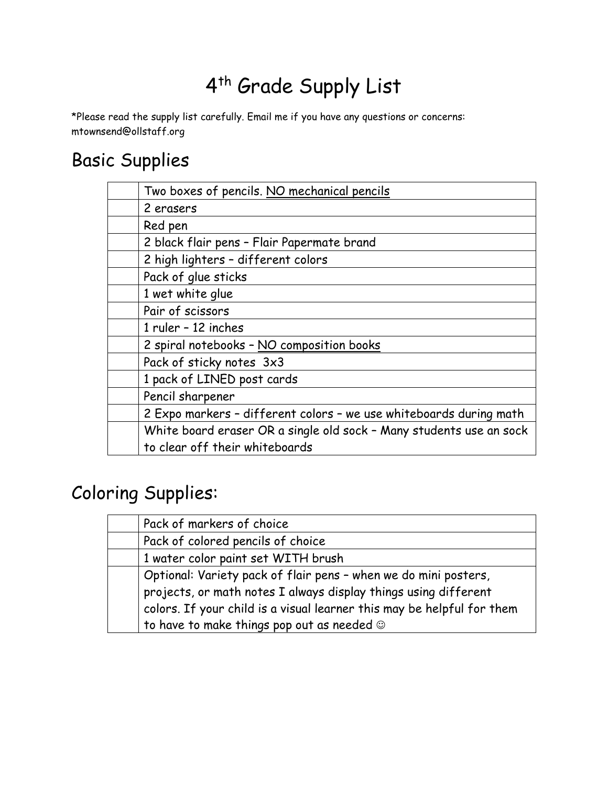# 4<sup>th</sup> Grade Supply List

\*Please read the supply list carefully. Email me if you have any questions or concerns: mtownsend@ollstaff.org

# Basic Supplies

| Two boxes of pencils. NO mechanical pencils                         |
|---------------------------------------------------------------------|
| 2 erasers                                                           |
| Red pen                                                             |
| 2 black flair pens - Flair Papermate brand                          |
| 2 high lighters - different colors                                  |
| Pack of glue sticks                                                 |
| 1 wet white glue                                                    |
| Pair of scissors                                                    |
| 1 ruler - 12 inches                                                 |
| 2 spiral notebooks - NO composition books                           |
| Pack of sticky notes 3x3                                            |
| 1 pack of LINED post cards                                          |
| Pencil sharpener                                                    |
| 2 Expo markers - different colors - we use whiteboards during math  |
| White board eraser OR a single old sock - Many students use an sock |
| to clear off their whiteboards                                      |
|                                                                     |

# Coloring Supplies:

| Pack of markers of choice                                              |
|------------------------------------------------------------------------|
| Pack of colored pencils of choice                                      |
| 1 water color paint set WITH brush                                     |
| Optional: Variety pack of flair pens - when we do mini posters,        |
| projects, or math notes I always display things using different        |
| colors. If your child is a visual learner this may be helpful for them |
| to have to make things pop out as needed $\odot$                       |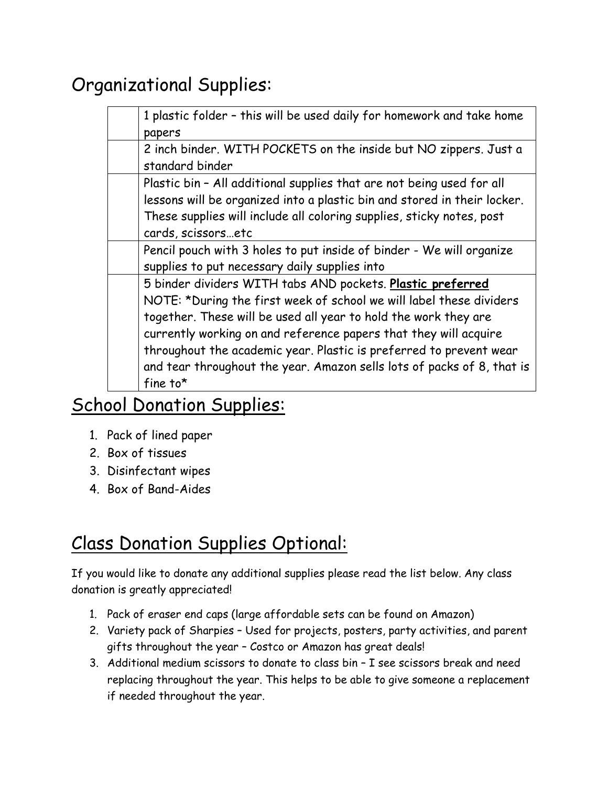### Organizational Supplies:

| 1 plastic folder - this will be used daily for homework and take home    |
|--------------------------------------------------------------------------|
| papers                                                                   |
| 2 inch binder. WITH POCKETS on the inside but NO zippers. Just a         |
| standard binder                                                          |
| Plastic bin - All additional supplies that are not being used for all    |
| lessons will be organized into a plastic bin and stored in their locker. |
| These supplies will include all coloring supplies, sticky notes, post    |
| cards, scissorsetc                                                       |
| Pencil pouch with 3 holes to put inside of binder - We will organize     |
| supplies to put necessary daily supplies into                            |
| 5 binder dividers WITH tabs AND pockets. Plastic preferred               |
| NOTE: *During the first week of school we will label these dividers      |
| together. These will be used all year to hold the work they are          |
| currently working on and reference papers that they will acquire         |
| throughout the academic year. Plastic is preferred to prevent wear       |
| and tear throughout the year. Amazon sells lots of packs of 8, that is   |
| fine to $*$                                                              |
|                                                                          |

#### School Donation Supplies:

- 1. Pack of lined paper
- 2. Box of tissues
- 3. Disinfectant wipes
- 4. Box of Band-Aides

#### Class Donation Supplies Optional:

If you would like to donate any additional supplies please read the list below. Any class donation is greatly appreciated!

- 1. Pack of eraser end caps (large affordable sets can be found on Amazon)
- 2. Variety pack of Sharpies Used for projects, posters, party activities, and parent gifts throughout the year – Costco or Amazon has great deals!
- 3. Additional medium scissors to donate to class bin I see scissors break and need replacing throughout the year. This helps to be able to give someone a replacement if needed throughout the year.